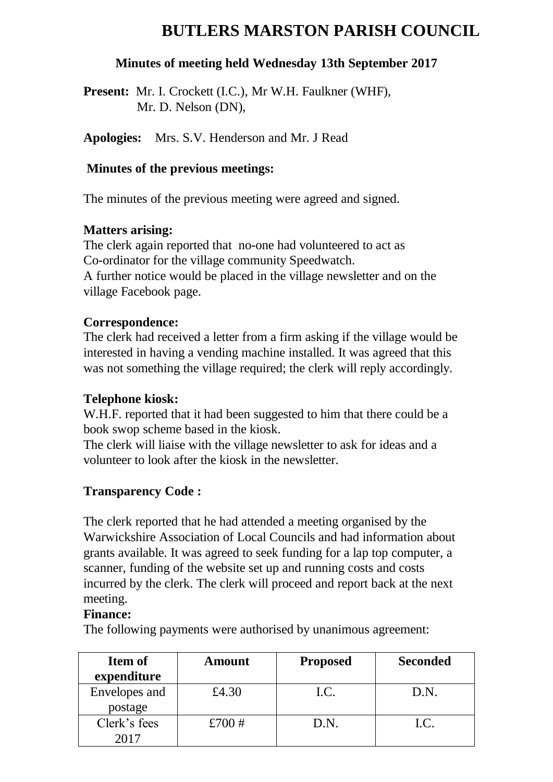# **BUTLERS MARSTON PARISH COUNCIL**

#### **Minutes of meeting held Wednesday 13th September 2017**

Present: Mr. I. Crockett (I.C.), Mr W.H. Faulkner (WHF), Mr. D. Nelson (DN),

**Apologies:** Mrs. S.V. Henderson and Mr. J Read

#### **Minutes of the previous meetings:**

The minutes of the previous meeting were agreed and signed.

#### **Matters arising:**

The clerk again reported that no-one had volunteered to act as Co-ordinator for the village community Speedwatch. A further notice would be placed in the village newsletter and on the village Facebook page.

# **Correspondence:**

The clerk had received a letter from a firm asking if the village would be interested in having a vending machine installed. It was agreed that this was not something the village required; the clerk will reply accordingly.

#### **Telephone kiosk:**

W.H.F. reported that it had been suggested to him that there could be a book swop scheme based in the kiosk.

The clerk will liaise with the village newsletter to ask for ideas and a volunteer to look after the kiosk in the newsletter.

# **Transparency Code :**

The clerk reported that he had attended a meeting organised by the Warwickshire Association of Local Councils and had information about grants available. It was agreed to seek funding for a lap top computer, a scanner, funding of the website set up and running costs and costs incurred by the clerk. The clerk will proceed and report back at the next meeting.

#### **Finance:**

The following payments were authorised by unanimous agreement:

| <b>Item of</b> | <b>Amount</b> | <b>Proposed</b> | <b>Seconded</b> |
|----------------|---------------|-----------------|-----------------|
| expenditure    |               |                 |                 |
| Envelopes and  | £4.30         | I.C.            | D.N.            |
| postage        |               |                 |                 |
| Clerk's fees   | £700 $#$      | D.N.            | I.C.            |
| 2017           |               |                 |                 |